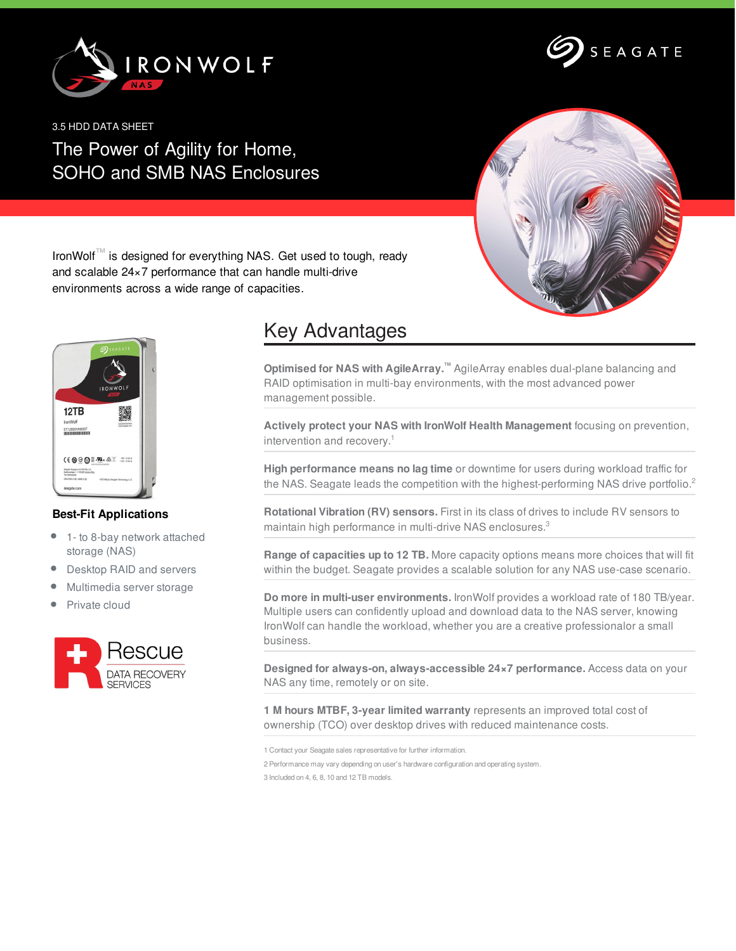



3.5 HDD DATA SHEET

## The Power of Agility for Home, SOHO and SMB NAS Enclosures



IronWolf™ is designed for everything NAS. Get used to tough, ready and scalable 24×7 performance that can handle multi-drive environments across a wide range of capacities.



## **Best-Fit Applications**

- 1- to 8-bay network attached  $\bullet$ storage (NAS)
- $\bullet$ Desktop RAID and servers
- Multimedia server storage
- Private cloud



## Key Advantages

**Optimised for NAS with AgileArray.™** AgileArray enables dual-plane balancing and RAID optimisation in multi-bay environments, with the most advanced power management possible.

**Actively protect your NAS with IronWolf Health Management** focusing on prevention, intervention and recovery. 1

**High performance means no lag time** or downtime for users during workload traffic for the NAS. Seagate leads the competition with the highest-performing NAS drive portfolio.<sup>2</sup>

**Rotational Vibration (RV) sensors.** First in its class of drives to include RV sensors to maintain high performance in multi-drive NAS enclosures.<sup>3</sup>

**Range of capacities up to 12 TB.** More capacity options means more choices that will fit within the budget. Seagate provides a scalable solution for any NAS use-case scenario.

**Do more in multi-user environments.** IronWolf provides a workload rate of 180 TB/year. Multiple users can confidently upload and download data to the NAS server, knowing IronWolf can handle the workload, whether you are a creative professionalor a small business.

**Designed for always-on, always-accessible 24×7 performance.** Access data on your NAS any time, remotely or on site.

**1 M hours MTBF, 3-year limited warranty** represents an improved total cost of ownership (TCO) over desktop drives with reduced maintenance costs.

1 Contact your Seagate sales representative for further information. 2 Performance may vary depending on user's hardware configuration and operating system. 3 Included on 4, 6, 8, 10 and 12 TB models.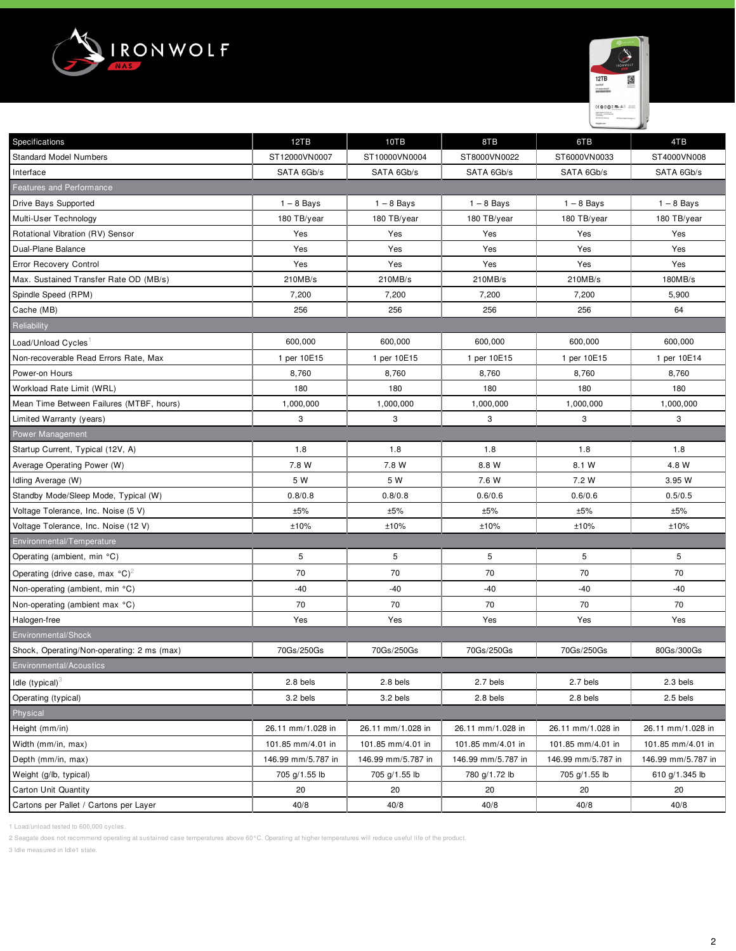



| <b>Specifications</b>                                 | 12TB               | 10TB               | 8TB                | 6TB                | 4TB                |
|-------------------------------------------------------|--------------------|--------------------|--------------------|--------------------|--------------------|
| <b>Standard Model Numbers</b>                         | ST12000VN0007      | ST10000VN0004      | ST8000VN0022       | ST6000VN0033       | ST4000VN008        |
| Interface                                             | SATA 6Gb/s         | SATA 6Gb/s         | SATA 6Gb/s         | SATA 6Gb/s         | SATA 6Gb/s         |
| <b>Features and Performance</b>                       |                    |                    |                    |                    |                    |
| Drive Bays Supported                                  | $1 - 8$ Bays       | $1 - 8$ Bays       | $1 - 8$ Bays       | $1 - 8$ Bays       | $1 - 8$ Bays       |
| Multi-User Technology                                 | 180 TB/year        | 180 TB/year        | 180 TB/year        | 180 TB/year        | 180 TB/year        |
| Rotational Vibration (RV) Sensor                      | Yes                | Yes                | Yes                | Yes                | Yes                |
| Dual-Plane Balance                                    | Yes                | Yes                | Yes                | Yes                | Yes                |
| Error Recovery Control                                | Yes                | Yes                | Yes                | Yes                | Yes                |
| Max. Sustained Transfer Rate OD (MB/s)                | 210MB/s            | 210MB/s            | 210MB/s            | 210MB/s            | 180MB/s            |
| Spindle Speed (RPM)                                   | 7,200              | 7,200              | 7,200              | 7,200              | 5,900              |
| Cache (MB)                                            | 256                | 256                | 256                | 256                | 64                 |
| Reliability                                           |                    |                    |                    |                    |                    |
| Load/Unload Cycles                                    | 600,000            | 600,000            | 600,000            | 600,000            | 600,000            |
| Non-recoverable Read Errors Rate, Max                 | 1 per 10E15        | 1 per 10E15        | 1 per 10E15        | 1 per 10E15        | 1 per 10E14        |
| Power-on Hours                                        | 8,760              | 8,760              | 8,760              | 8,760              | 8,760              |
| Workload Rate Limit (WRL)                             | 180                | 180                | 180                | 180                | 180                |
| Mean Time Between Failures (MTBF, hours)              | 1,000,000          | 1,000,000          | 1,000,000          | 1,000,000          | 1,000,000          |
| Limited Warranty (years)                              | 3                  | 3                  | 3                  | 3                  | 3                  |
| Power Management                                      |                    |                    |                    |                    |                    |
| Startup Current, Typical (12V, A)                     | 1.8                | 1.8                | 1.8                | 1.8                | 1.8                |
| Average Operating Power (W)                           | 7.8 W              | 7.8 W              | 8.8 W              | 8.1 W              | 4.8 W              |
| Idling Average (W)                                    | 5 W                | 5 W                | 7.6 W              | 7.2 W              | 3.95 W             |
| Standby Mode/Sleep Mode, Typical (W)                  | 0.8/0.8            | 0.8/0.8            | 0.6/0.6            | 0.6/0.6            | 0.5/0.5            |
| Voltage Tolerance, Inc. Noise (5 V)                   | ±5%                | ±5%                | ±5%                | ±5%                | ±5%                |
| Voltage Tolerance, Inc. Noise (12 V)                  | ±10%               | ±10%               | ±10%               | ±10%               | ±10%               |
| Environmental/Temperature                             |                    |                    |                    |                    |                    |
| Operating (ambient, min °C)                           | 5                  | 5                  | 5                  | 5                  | 5                  |
| Operating (drive case, max $^{\circ}$ C) <sup>2</sup> | 70                 | 70                 | 70                 | 70                 | 70                 |
| Non-operating (ambient, min °C)                       | $-40$              | -40                | -40                | $-40$              | -40                |
| Non-operating (ambient max °C)                        | 70                 | 70                 | 70                 | 70                 | 70                 |
| Halogen-free                                          | Yes                | Yes                | Yes                | Yes                | Yes                |
| Environmental/Shock                                   |                    |                    |                    |                    |                    |
| Shock, Operating/Non-operating: 2 ms (max)            | 70Gs/250Gs         | 70Gs/250Gs         | 70Gs/250Gs         | 70Gs/250Gs         | 80Gs/300Gs         |
| <b>Environmental/Acoustics</b>                        |                    |                    |                    |                    |                    |
| Idle (typical) $\delta$                               | 2.8 bels           | 2.8 bels           | 2.7 bels           | 2.7 bels           | 2.3 bels           |
| Operating (typical)                                   | 3.2 bels           | 3.2 bels           | 2.8 bels           | 2.8 bels           | 2.5 bels           |
| Physical                                              |                    |                    |                    |                    |                    |
| Height (mm/in)                                        | 26.11 mm/1.028 in  | 26.11 mm/1.028 in  | 26.11 mm/1.028 in  | 26.11 mm/1.028 in  | 26.11 mm/1.028 in  |
| Width (mm/in, max)                                    | 101.85 mm/4.01 in  | 101.85 mm/4.01 in  | 101.85 mm/4.01 in  | 101.85 mm/4.01 in  | 101.85 mm/4.01 in  |
| Depth (mm/in, max)                                    | 146.99 mm/5.787 in | 146.99 mm/5.787 in | 146.99 mm/5.787 in | 146.99 mm/5.787 in | 146.99 mm/5.787 in |
| Weight (g/lb, typical)                                | 705 g/1.55 lb      | 705 g/1.55 lb      | 780 g/1.72 lb      | 705 g/1.55 lb      | 610 g/1.345 lb     |
| <b>Carton Unit Quantity</b>                           | 20                 | 20                 | 20                 | 20                 | 20                 |
| Cartons per Pallet / Cartons per Layer                | 40/8               | 40/8               | 40/8               | 40/8               | 40/8               |

1 Load/unload tested to 600,000 cycles.

2 Seagate does not recommend operating at sustained case temperatures above 60°C. Operating at higher temperatures will reduce useful life of the product.

3 Idle measured in Idle1 state.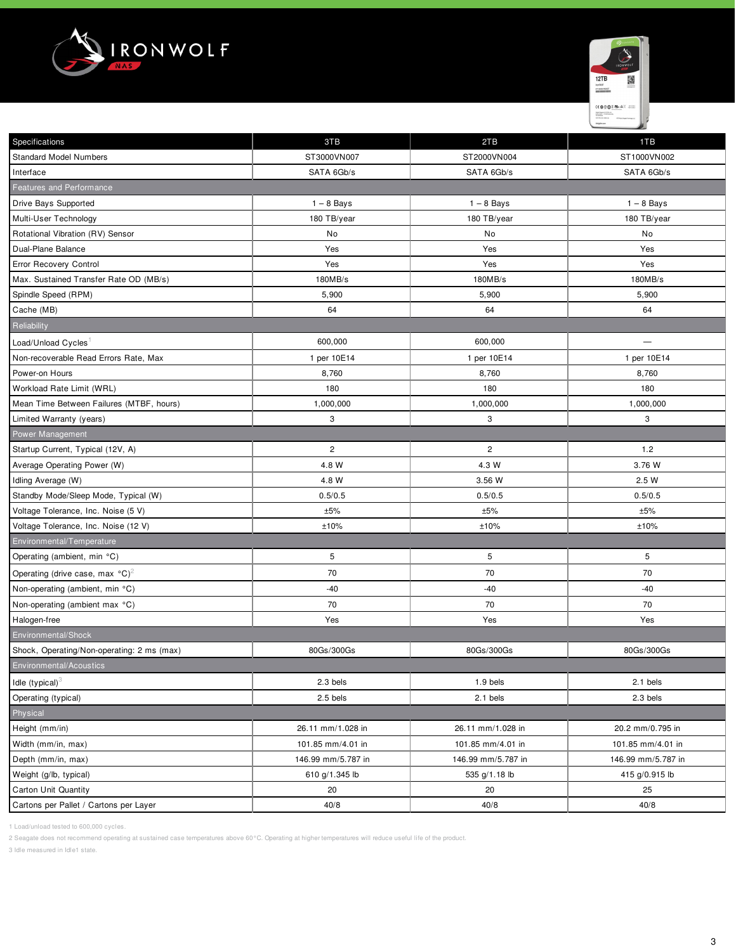



| Specifications                                        | 3TB                | 2TB                | 1TB                |
|-------------------------------------------------------|--------------------|--------------------|--------------------|
| <b>Standard Model Numbers</b>                         | ST3000VN007        | ST2000VN004        | ST1000VN002        |
| Interface                                             | SATA 6Gb/s         | SATA 6Gb/s         | SATA 6Gb/s         |
| Features and Performance                              |                    |                    |                    |
| Drive Bays Supported                                  | $1 - 8$ Bays       | $1 - 8$ Bays       | $1 - 8$ Bays       |
| Multi-User Technology                                 | 180 TB/year        | 180 TB/year        | 180 TB/year        |
| Rotational Vibration (RV) Sensor                      | No                 | No                 | No                 |
| Dual-Plane Balance                                    | Yes                | Yes                | Yes                |
| Error Recovery Control                                | Yes                | Yes                | Yes                |
| Max. Sustained Transfer Rate OD (MB/s)                | 180MB/s            | 180MB/s            | 180MB/s            |
| Spindle Speed (RPM)                                   | 5,900              | 5,900              | 5,900              |
| Cache (MB)                                            | 64                 | 64                 | 64                 |
| Reliability                                           |                    |                    |                    |
| Load/Unload Cycles                                    | 600,000            | 600,000            |                    |
| Non-recoverable Read Errors Rate, Max                 | 1 per 10E14        | 1 per 10E14        | 1 per 10E14        |
| Power-on Hours                                        | 8,760              | 8,760              | 8,760              |
| Workload Rate Limit (WRL)                             | 180                | 180                | 180                |
| Mean Time Between Failures (MTBF, hours)              | 1,000,000          | 1,000,000          | 1,000,000          |
| Limited Warranty (years)                              | 3                  | 3                  | 3                  |
| Power Management                                      |                    |                    |                    |
| Startup Current, Typical (12V, A)                     | $\overline{c}$     | $\overline{c}$     | 1.2                |
| Average Operating Power (W)                           | 4.8 W              | 4.3 W              | 3.76 W             |
| Idling Average (W)                                    | 4.8 W              | 3.56 W             | 2.5 W              |
| Standby Mode/Sleep Mode, Typical (W)                  | 0.5/0.5            | 0.5/0.5            | 0.5/0.5            |
| Voltage Tolerance, Inc. Noise (5 V)                   | ±5%                | ±5%                | ±5%                |
| Voltage Tolerance, Inc. Noise (12 V)                  | ±10%               | ±10%               | ±10%               |
| Environmental/Temperature                             |                    |                    |                    |
| Operating (ambient, min °C)                           | 5                  | 5                  | 5                  |
| Operating (drive case, max $^{\circ}$ C) <sup>2</sup> | 70                 | 70                 | 70                 |
| Non-operating (ambient, min °C)                       | $-40$              | -40                | $-40$              |
| Non-operating (ambient max °C)                        | 70                 | 70                 | 70                 |
| Halogen-free                                          | Yes                | Yes                | Yes                |
| Environmental/Shock                                   |                    |                    |                    |
| Shock, Operating/Non-operating: 2 ms (max)            | 80Gs/300Gs         | 80Gs/300Gs         | 80Gs/300Gs         |
| Environmental/Acoustics                               |                    |                    |                    |
| Idle $(typical)^3$                                    | 2.3 bels           | 1.9 bels           | 2.1 bels           |
| Operating (typical)                                   | 2.5 bels           | 2.1 bels           | 2.3 bels           |
| Physical                                              |                    |                    |                    |
| Height (mm/in)                                        | 26.11 mm/1.028 in  | 26.11 mm/1.028 in  | 20.2 mm/0.795 in   |
| Width (mm/in, max)                                    | 101.85 mm/4.01 in  | 101.85 mm/4.01 in  | 101.85 mm/4.01 in  |
| Depth (mm/in, max)                                    | 146.99 mm/5.787 in | 146.99 mm/5.787 in | 146.99 mm/5.787 in |
| Weight (g/lb, typical)                                | 610 g/1.345 lb     | 535 g/1.18 lb      | 415 g/0.915 lb     |
| Carton Unit Quantity                                  | 20                 | 20                 | 25                 |
| Cartons per Pallet / Cartons per Layer                | 40/8               | 40/8               | 40/8               |

1 Load/unload tested to 600,000 cycles.

2 Seagate does not recommend operating at sustained case temperatures above 60°C. Operating at higher temperatures will reduce useful life of the product.

3 Idle measured in Idle1 state.